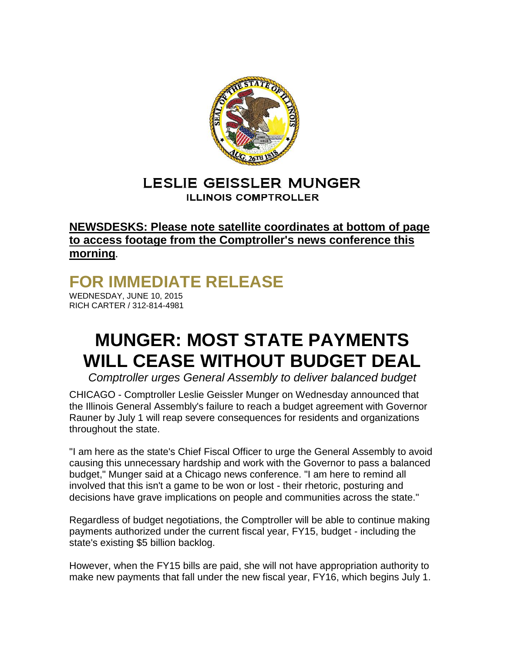

## LESLIE GEISSLER MUNGER **ILLINOIS COMPTROLLER**

## **NEWSDESKS: Please note satellite coordinates at bottom of page to access footage from the Comptroller's news conference this morning.**

## **FOR IMMEDIATE RELEASE**

WEDNESDAY, JUNE 10, 2015 RICH CARTER / 312-814-4981

## **MUNGER: MOST STATE PAYMENTS WILL CEASE WITHOUT BUDGET DEAL**

*Comptroller urges General Assembly to deliver balanced budget*

CHICAGO - Comptroller Leslie Geissler Munger on Wednesday announced that the Illinois General Assembly's failure to reach a budget agreement with Governor Rauner by July 1 will reap severe consequences for residents and organizations throughout the state.

"I am here as the state's Chief Fiscal Officer to urge the General Assembly to avoid causing this unnecessary hardship and work with the Governor to pass a balanced budget," Munger said at a Chicago news conference. "I am here to remind all involved that this isn't a game to be won or lost - their rhetoric, posturing and decisions have grave implications on people and communities across the state."

Regardless of budget negotiations, the Comptroller will be able to continue making payments authorized under the current fiscal year, FY15, budget - including the state's existing \$5 billion backlog.

However, when the FY15 bills are paid, she will not have appropriation authority to make new payments that fall under the new fiscal year, FY16, which begins July 1.